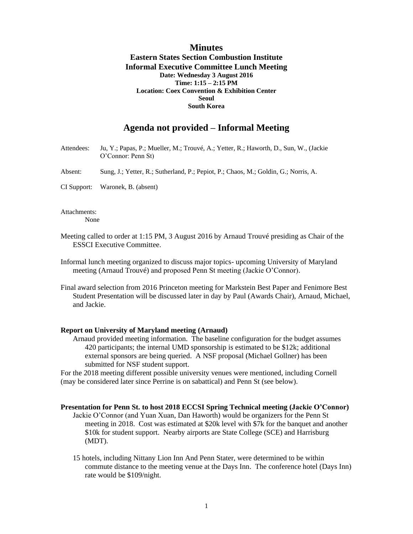# **Minutes**

### **Eastern States Section Combustion Institute Informal Executive Committee Lunch Meeting Date: Wednesday 3 August 2016 Time: 1:15 – 2:15 PM Location: Coex Convention & Exhibition Center Seoul South Korea**

## **Agenda not provided – Informal Meeting**

| Attendees:  | Ju, Y.; Papas, P.; Mueller, M.; Trouvé, A.; Yetter, R.; Haworth, D., Sun, W., (Jackie<br>O'Connor: Penn St) |
|-------------|-------------------------------------------------------------------------------------------------------------|
| Absent:     | Sung, J.; Yetter, R.; Sutherland, P.; Pepiot, P.; Chaos, M.; Goldin, G.; Norris, A.                         |
| CI Support: | Waronek, B. (absent)                                                                                        |
|             |                                                                                                             |

Attachments:

None

- Meeting called to order at 1:15 PM, 3 August 2016 by Arnaud Trouvé presiding as Chair of the ESSCI Executive Committee.
- Informal lunch meeting organized to discuss major topics- upcoming University of Maryland meeting (Arnaud Trouvé) and proposed Penn St meeting (Jackie O'Connor).
- Final award selection from 2016 Princeton meeting for Markstein Best Paper and Fenimore Best Student Presentation will be discussed later in day by Paul (Awards Chair), Arnaud, Michael, and Jackie.

## **Report on University of Maryland meeting (Arnaud)**

Arnaud provided meeting information. The baseline configuration for the budget assumes 420 participants; the internal UMD sponsorship is estimated to be \$12k; additional external sponsors are being queried. A NSF proposal (Michael Gollner) has been submitted for NSF student support.

For the 2018 meeting different possible university venues were mentioned, including Cornell (may be considered later since Perrine is on sabattical) and Penn St (see below).

#### **Presentation for Penn St. to host 2018 ECCSI Spring Technical meeting (Jackie O'Connor)**

Jackie O'Connor (and Yuan Xuan, Dan Haworth) would be organizers for the Penn St meeting in 2018. Cost was estimated at \$20k level with \$7k for the banquet and another \$10k for student support. Nearby airports are State College (SCE) and Harrisburg (MDT).

15 hotels, including Nittany Lion Inn And Penn Stater, were determined to be within commute distance to the meeting venue at the Days Inn. The conference hotel (Days Inn) rate would be \$109/night.